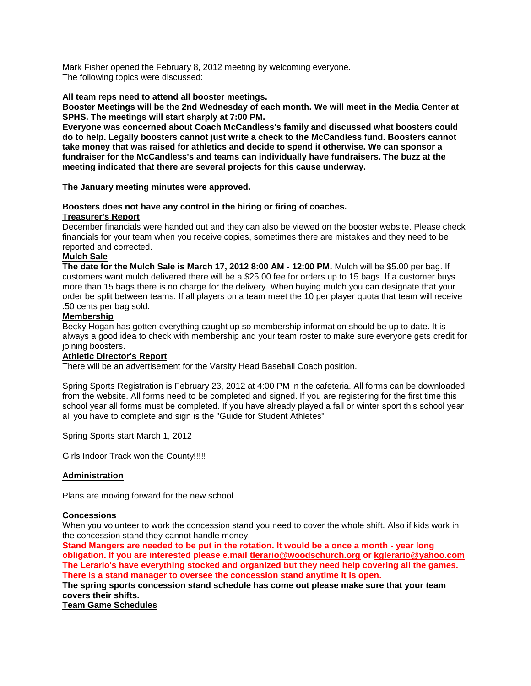Mark Fisher opened the February 8, 2012 meeting by welcoming everyone. The following topics were discussed:

## **All team reps need to attend all booster meetings.**

**Booster Meetings will be the 2nd Wednesday of each month. We will meet in the Media Center at SPHS. The meetings will start sharply at 7:00 PM.**

**Everyone was concerned about Coach McCandless's family and discussed what boosters could do to help. Legally boosters cannot just write a check to the McCandless fund. Boosters cannot take money that was raised for athletics and decide to spend it otherwise. We can sponsor a fundraiser for the McCandless's and teams can individually have fundraisers. The buzz at the meeting indicated that there are several projects for this cause underway.**

**The January meeting minutes were approved.**

# **Boosters does not have any control in the hiring or firing of coaches.**

#### **Treasurer's Report**

December financials were handed out and they can also be viewed on the booster website. Please check financials for your team when you receive copies, sometimes there are mistakes and they need to be reported and corrected.

# **Mulch Sale**

**The date for the Mulch Sale is March 17, 2012 8:00 AM - 12:00 PM.** Mulch will be \$5.00 per bag. If customers want mulch delivered there will be a \$25.00 fee for orders up to 15 bags. If a customer buys more than 15 bags there is no charge for the delivery. When buying mulch you can designate that your order be split between teams. If all players on a team meet the 10 per player quota that team will receive .50 cents per bag sold.

# **Membership**

Becky Hogan has gotten everything caught up so membership information should be up to date. It is always a good idea to check with membership and your team roster to make sure everyone gets credit for joining boosters.

#### **Athletic Director's Report**

There will be an advertisement for the Varsity Head Baseball Coach position.

Spring Sports Registration is February 23, 2012 at 4:00 PM in the cafeteria. All forms can be downloaded from the website. All forms need to be completed and signed. If you are registering for the first time this school year all forms must be completed. If you have already played a fall or winter sport this school year all you have to complete and sign is the "Guide for Student Athletes"

Spring Sports start March 1, 2012

Girls Indoor Track won the County!!!!!

# **Administration**

Plans are moving forward for the new school

#### **Concessions**

When you volunteer to work the concession stand you need to cover the whole shift. Also if kids work in the concession stand they cannot handle money.

**Stand Mangers are needed to be put in the rotation. It would be a once a month - year long obligation. If you are interested please e.mail [tlerario@woodschurch.org](mailto:tlerario@woodschurch.org) or [kglerario@yahoo.com](mailto:kglerario@yahoo.com) The Lerario's have everything stocked and organized but they need help covering all the games. There is a stand manager to oversee the concession stand anytime it is open.** 

**The spring sports concession stand schedule has come out please make sure that your team covers their shifts.** 

**Team Game Schedules**